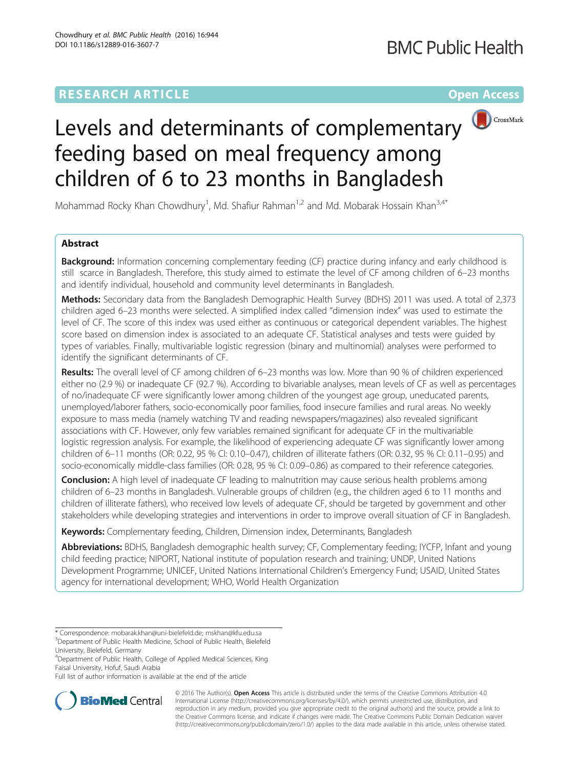## **RESEARCH ARTICLE Example 2014 12:30 The Contract of Contract ACCESS**



# Levels and determinants of complementary feeding based on meal frequency among children of 6 to 23 months in Bangladesh

Mohammad Rocky Khan Chowdhury<sup>1</sup>, Md. Shafiur Rahman<sup>1,2</sup> and Md. Mobarak Hossain Khan<sup>3,4\*</sup>

## Abstract

**Background:** Information concerning complementary feeding (CF) practice during infancy and early childhood is still scarce in Bangladesh. Therefore, this study aimed to estimate the level of CF among children of 6–23 months and identify individual, household and community level determinants in Bangladesh.

Methods: Secondary data from the Bangladesh Demographic Health Survey (BDHS) 2011 was used. A total of 2,373 children aged 6–23 months were selected. A simplified index called "dimension index" was used to estimate the level of CF. The score of this index was used either as continuous or categorical dependent variables. The highest score based on dimension index is associated to an adequate CF. Statistical analyses and tests were guided by types of variables. Finally, multivariable logistic regression (binary and multinomial) analyses were performed to identify the significant determinants of CF.

Results: The overall level of CF among children of 6–23 months was low. More than 90 % of children experienced either no (2.9 %) or inadequate CF (92.7 %). According to bivariable analyses, mean levels of CF as well as percentages of no/inadequate CF were significantly lower among children of the youngest age group, uneducated parents, unemployed/laborer fathers, socio-economically poor families, food insecure families and rural areas. No weekly exposure to mass media (namely watching TV and reading newspapers/magazines) also revealed significant associations with CF. However, only few variables remained significant for adequate CF in the multivariable logistic regression analysis. For example, the likelihood of experiencing adequate CF was significantly lower among children of 6–11 months (OR: 0.22, 95 % CI: 0.10–0.47), children of illiterate fathers (OR: 0.32, 95 % CI: 0.11–0.95) and socio-economically middle-class families (OR: 0.28, 95 % CI: 0.09–0.86) as compared to their reference categories.

**Conclusion:** A high level of inadequate CF leading to malnutrition may cause serious health problems among children of 6–23 months in Bangladesh. Vulnerable groups of children (e.g., the children aged 6 to 11 months and children of illiterate fathers), who received low levels of adequate CF, should be targeted by government and other stakeholders while developing strategies and interventions in order to improve overall situation of CF in Bangladesh.

Keywords: Complementary feeding, Children, Dimension index, Determinants, Bangladesh

Abbreviations: BDHS, Bangladesh demographic health survey; CF, Complementary feeding; IYCFP, Infant and young child feeding practice; NIPORT, National institute of population research and training; UNDP, United Nations Development Programme; UNICEF, United Nations International Children's Emergency Fund; USAID, United States agency for international development; WHO, World Health Organization

4 Department of Public Health, College of Applied Medical Sciences, King Faisal University, Hofuf, Saudi Arabia

Full list of author information is available at the end of the article



© 2016 The Author(s). Open Access This article is distributed under the terms of the Creative Commons Attribution 4.0 International License [\(http://creativecommons.org/licenses/by/4.0/](http://creativecommons.org/licenses/by/4.0/)), which permits unrestricted use, distribution, and reproduction in any medium, provided you give appropriate credit to the original author(s) and the source, provide a link to the Creative Commons license, and indicate if changes were made. The Creative Commons Public Domain Dedication waiver [\(http://creativecommons.org/publicdomain/zero/1.0/](http://creativecommons.org/publicdomain/zero/1.0/)) applies to the data made available in this article, unless otherwise stated.

<sup>\*</sup> Correspondence: [mobarak.khan@uni-bielefeld.de;](mailto:mobarak.khan@uni-bielefeld.de) [mskhan@kfu.edu.sa](mailto:mskhan@kfu.edu.sa) <sup>3</sup>

<sup>&</sup>lt;sup>3</sup>Department of Public Health Medicine, School of Public Health, Bielefeld University, Bielefeld, Germany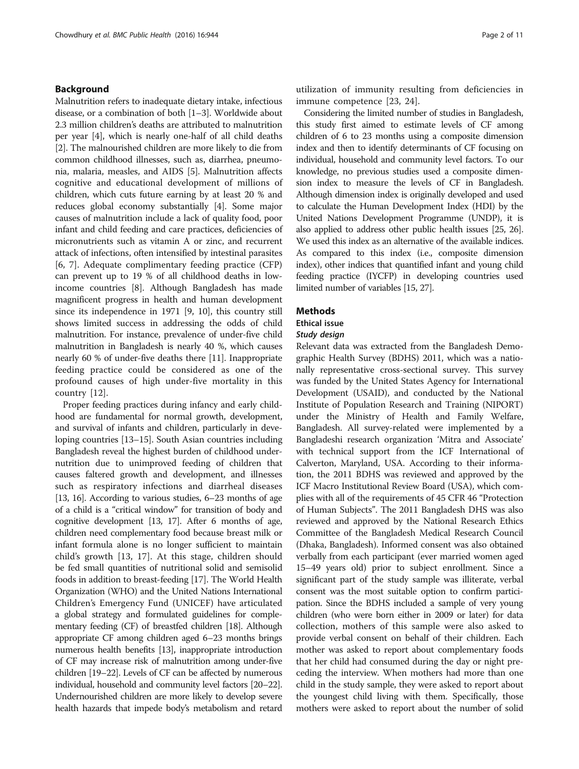## Background

Malnutrition refers to inadequate dietary intake, infectious disease, or a combination of both [[1](#page-9-0)–[3](#page-9-0)]. Worldwide about 2.3 million children's deaths are attributed to malnutrition per year [[4](#page-9-0)], which is nearly one-half of all child deaths [[2\]](#page-9-0). The malnourished children are more likely to die from common childhood illnesses, such as, diarrhea, pneumonia, malaria, measles, and AIDS [[5\]](#page-9-0). Malnutrition affects cognitive and educational development of millions of children, which cuts future earning by at least 20 % and reduces global economy substantially [\[4](#page-9-0)]. Some major causes of malnutrition include a lack of quality food, poor infant and child feeding and care practices, deficiencies of micronutrients such as vitamin A or zinc, and recurrent attack of infections, often intensified by intestinal parasites [[6, 7](#page-9-0)]. Adequate complimentary feeding practice (CFP) can prevent up to 19 % of all childhood deaths in lowincome countries [\[8](#page-9-0)]. Although Bangladesh has made magnificent progress in health and human development since its independence in 1971 [[9](#page-9-0), [10](#page-9-0)], this country still shows limited success in addressing the odds of child malnutrition. For instance, prevalence of under-five child malnutrition in Bangladesh is nearly 40 %, which causes nearly 60 % of under-five deaths there [[11\]](#page-9-0). Inappropriate feeding practice could be considered as one of the profound causes of high under-five mortality in this country [[12\]](#page-9-0).

Proper feeding practices during infancy and early childhood are fundamental for normal growth, development, and survival of infants and children, particularly in developing countries [[13](#page-9-0)–[15\]](#page-9-0). South Asian countries including Bangladesh reveal the highest burden of childhood undernutrition due to unimproved feeding of children that causes faltered growth and development, and illnesses such as respiratory infections and diarrheal diseases [[13](#page-9-0), [16\]](#page-9-0). According to various studies, 6–23 months of age of a child is a "critical window" for transition of body and cognitive development [[13](#page-9-0), [17\]](#page-9-0). After 6 months of age, children need complementary food because breast milk or infant formula alone is no longer sufficient to maintain child's growth [\[13](#page-9-0), [17](#page-9-0)]. At this stage, children should be fed small quantities of nutritional solid and semisolid foods in addition to breast-feeding [[17](#page-9-0)]. The World Health Organization (WHO) and the United Nations International Children's Emergency Fund (UNICEF) have articulated a global strategy and formulated guidelines for complementary feeding (CF) of breastfed children [\[18\]](#page-10-0). Although appropriate CF among children aged 6–23 months brings numerous health benefits [\[13\]](#page-9-0), inappropriate introduction of CF may increase risk of malnutrition among under-five children [\[19](#page-10-0)–[22](#page-10-0)]. Levels of CF can be affected by numerous individual, household and community level factors [[20](#page-10-0)–[22](#page-10-0)]. Undernourished children are more likely to develop severe health hazards that impede body's metabolism and retard

utilization of immunity resulting from deficiencies in immune competence [\[23, 24\]](#page-10-0).

Considering the limited number of studies in Bangladesh, this study first aimed to estimate levels of CF among children of 6 to 23 months using a composite dimension index and then to identify determinants of CF focusing on individual, household and community level factors. To our knowledge, no previous studies used a composite dimension index to measure the levels of CF in Bangladesh. Although dimension index is originally developed and used to calculate the Human Development Index (HDI) by the United Nations Development Programme (UNDP), it is also applied to address other public health issues [\[25](#page-10-0), [26](#page-10-0)]. We used this index as an alternative of the available indices. As compared to this index (i.e., composite dimension index), other indices that quantified infant and young child feeding practice (IYCFP) in developing countries used limited number of variables [\[15,](#page-9-0) [27\]](#page-10-0).

## **Methods**

## Ethical issue

#### Study design

Relevant data was extracted from the Bangladesh Demographic Health Survey (BDHS) 2011, which was a nationally representative cross-sectional survey. This survey was funded by the United States Agency for International Development (USAID), and conducted by the National Institute of Population Research and Training (NIPORT) under the Ministry of Health and Family Welfare, Bangladesh. All survey-related were implemented by a Bangladeshi research organization 'Mitra and Associate' with technical support from the ICF International of Calverton, Maryland, USA. According to their information, the 2011 BDHS was reviewed and approved by the ICF Macro Institutional Review Board (USA), which complies with all of the requirements of 45 CFR 46 "Protection of Human Subjects". The 2011 Bangladesh DHS was also reviewed and approved by the National Research Ethics Committee of the Bangladesh Medical Research Council (Dhaka, Bangladesh). Informed consent was also obtained verbally from each participant (ever married women aged 15–49 years old) prior to subject enrollment. Since a significant part of the study sample was illiterate, verbal consent was the most suitable option to confirm participation. Since the BDHS included a sample of very young children (who were born either in 2009 or later) for data collection, mothers of this sample were also asked to provide verbal consent on behalf of their children. Each mother was asked to report about complementary foods that her child had consumed during the day or night preceding the interview. When mothers had more than one child in the study sample, they were asked to report about the youngest child living with them. Specifically, those mothers were asked to report about the number of solid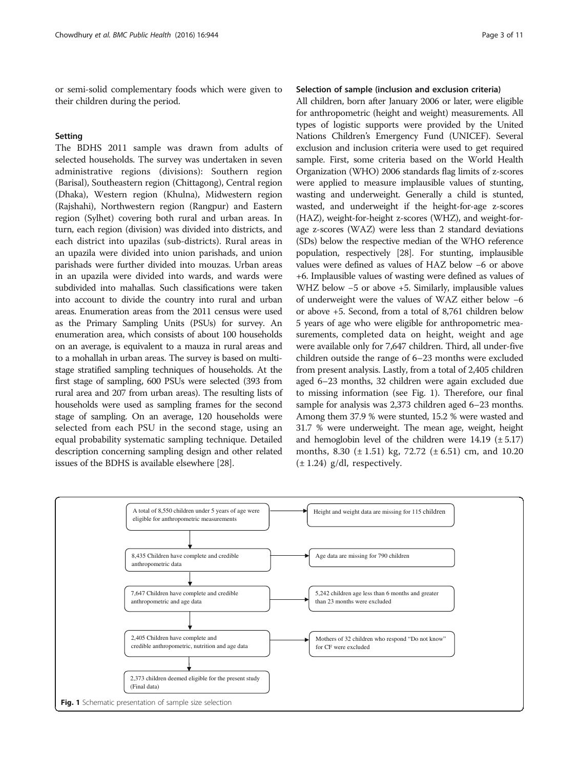or semi-solid complementary foods which were given to their children during the period.

## Setting

The BDHS 2011 sample was drawn from adults of selected households. The survey was undertaken in seven administrative regions (divisions): Southern region (Barisal), Southeastern region (Chittagong), Central region (Dhaka), Western region (Khulna), Midwestern region (Rajshahi), Northwestern region (Rangpur) and Eastern region (Sylhet) covering both rural and urban areas. In turn, each region (division) was divided into districts, and each district into upazilas (sub-districts). Rural areas in an upazila were divided into union parishads, and union parishads were further divided into mouzas. Urban areas in an upazila were divided into wards, and wards were subdivided into mahallas. Such classifications were taken into account to divide the country into rural and urban areas. Enumeration areas from the 2011 census were used as the Primary Sampling Units (PSUs) for survey. An enumeration area, which consists of about 100 households on an average, is equivalent to a mauza in rural areas and to a mohallah in urban areas. The survey is based on multistage stratified sampling techniques of households. At the first stage of sampling, 600 PSUs were selected (393 from rural area and 207 from urban areas). The resulting lists of households were used as sampling frames for the second stage of sampling. On an average, 120 households were selected from each PSU in the second stage, using an equal probability systematic sampling technique. Detailed description concerning sampling design and other related issues of the BDHS is available elsewhere [\[28\]](#page-10-0).

## Selection of sample (inclusion and exclusion criteria)

All children, born after January 2006 or later, were eligible for anthropometric (height and weight) measurements. All types of logistic supports were provided by the United Nations Children's Emergency Fund (UNICEF). Several exclusion and inclusion criteria were used to get required sample. First, some criteria based on the World Health Organization (WHO) 2006 standards flag limits of z-scores were applied to measure implausible values of stunting, wasting and underweight. Generally a child is stunted, wasted, and underweight if the height-for-age z-scores (HAZ), weight-for-height z-scores (WHZ), and weight-forage z-scores (WAZ) were less than 2 standard deviations (SDs) below the respective median of the WHO reference population, respectively [\[28\]](#page-10-0). For stunting, implausible values were defined as values of HAZ below −6 or above +6. Implausible values of wasting were defined as values of WHZ below −5 or above +5. Similarly, implausible values of underweight were the values of WAZ either below −6 or above +5. Second, from a total of 8,761 children below 5 years of age who were eligible for anthropometric measurements, completed data on height, weight and age were available only for 7,647 children. Third, all under-five children outside the range of 6–23 months were excluded from present analysis. Lastly, from a total of 2,405 children aged 6–23 months, 32 children were again excluded due to missing information (see Fig. 1). Therefore, our final sample for analysis was 2,373 children aged 6–23 months. Among them 37.9 % were stunted, 15.2 % were wasted and 31.7 % were underweight. The mean age, weight, height and hemoglobin level of the children were  $14.19 \ (\pm 5.17)$ months, 8.30  $(\pm 1.51)$  kg, 72.72  $(\pm 6.51)$  cm, and 10.20  $(\pm 1.24)$  g/dl, respectively.

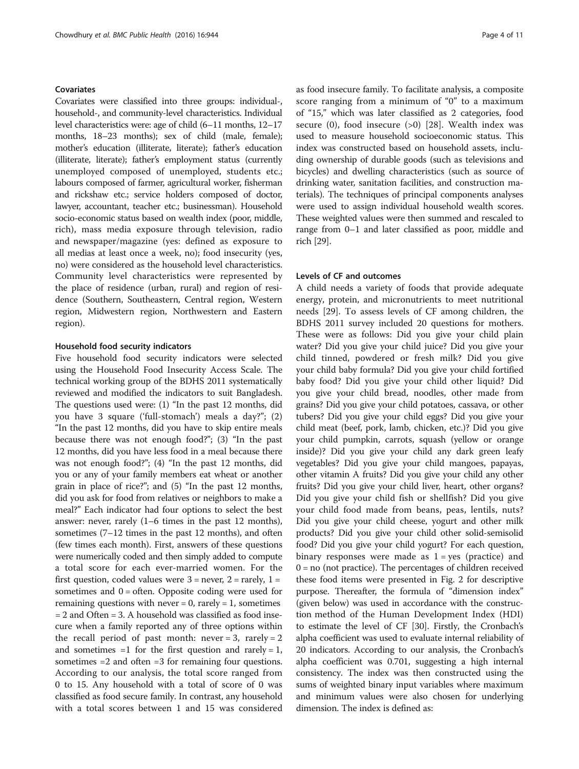## Covariates

Covariates were classified into three groups: individual-, household-, and community-level characteristics. Individual level characteristics were: age of child (6–11 months, 12–17 months, 18–23 months); sex of child (male, female); mother's education (illiterate, literate); father's education (illiterate, literate); father's employment status (currently unemployed composed of unemployed, students etc.; labours composed of farmer, agricultural worker, fisherman and rickshaw etc.; service holders composed of doctor, lawyer, accountant, teacher etc.; businessman). Household socio-economic status based on wealth index (poor, middle, rich), mass media exposure through television, radio and newspaper/magazine (yes: defined as exposure to all medias at least once a week, no); food insecurity (yes, no) were considered as the household level characteristics. Community level characteristics were represented by the place of residence (urban, rural) and region of residence (Southern, Southeastern, Central region, Western region, Midwestern region, Northwestern and Eastern region).

## Household food security indicators

Five household food security indicators were selected using the Household Food Insecurity Access Scale. The technical working group of the BDHS 2011 systematically reviewed and modified the indicators to suit Bangladesh. The questions used were: (1) "In the past 12 months, did you have 3 square ('full-stomach') meals a day?"; (2) "In the past 12 months, did you have to skip entire meals because there was not enough food?"; (3) "In the past 12 months, did you have less food in a meal because there was not enough food?"; (4) "In the past 12 months, did you or any of your family members eat wheat or another grain in place of rice?"; and (5) "In the past 12 months, did you ask for food from relatives or neighbors to make a meal?" Each indicator had four options to select the best answer: never, rarely (1–6 times in the past 12 months), sometimes (7–12 times in the past 12 months), and often (few times each month). First, answers of these questions were numerically coded and then simply added to compute a total score for each ever-married women. For the first question, coded values were  $3$  = never,  $2$  = rarely,  $1$  = sometimes and  $0 =$  often. Opposite coding were used for remaining questions with never  $= 0$ , rarely  $= 1$ , sometimes = 2 and Often = 3. A household was classified as food insecure when a family reported any of three options within the recall period of past month: never = 3, rarely =  $2$ and sometimes  $=1$  for the first question and rarely  $= 1$ , sometimes =2 and often =3 for remaining four questions. According to our analysis, the total score ranged from 0 to 15. Any household with a total of score of 0 was classified as food secure family. In contrast, any household with a total scores between 1 and 15 was considered as food insecure family. To facilitate analysis, a composite score ranging from a minimum of "0" to a maximum of "15," which was later classified as 2 categories, food secure  $(0)$ , food insecure  $(>0)$  [\[28](#page-10-0)]. Wealth index was used to measure household socioeconomic status. This index was constructed based on household assets, including ownership of durable goods (such as televisions and bicycles) and dwelling characteristics (such as source of drinking water, sanitation facilities, and construction materials). The techniques of principal components analyses were used to assign individual household wealth scores. These weighted values were then summed and rescaled to range from 0–1 and later classified as poor, middle and rich [\[29\]](#page-10-0).

## Levels of CF and outcomes

A child needs a variety of foods that provide adequate energy, protein, and micronutrients to meet nutritional needs [\[29](#page-10-0)]. To assess levels of CF among children, the BDHS 2011 survey included 20 questions for mothers. These were as follows: Did you give your child plain water? Did you give your child juice? Did you give your child tinned, powdered or fresh milk? Did you give your child baby formula? Did you give your child fortified baby food? Did you give your child other liquid? Did you give your child bread, noodles, other made from grains? Did you give your child potatoes, cassava, or other tubers? Did you give your child eggs? Did you give your child meat (beef, pork, lamb, chicken, etc.)? Did you give your child pumpkin, carrots, squash (yellow or orange inside)? Did you give your child any dark green leafy vegetables? Did you give your child mangoes, papayas, other vitamin A fruits? Did you give your child any other fruits? Did you give your child liver, heart, other organs? Did you give your child fish or shellfish? Did you give your child food made from beans, peas, lentils, nuts? Did you give your child cheese, yogurt and other milk products? Did you give your child other solid-semisolid food? Did you give your child yogurt? For each question, binary responses were made as  $1 = yes$  (practice) and  $0 = no$  (not practice). The percentages of children received these food items were presented in Fig. [2](#page-4-0) for descriptive purpose. Thereafter, the formula of "dimension index" (given below) was used in accordance with the construction method of the Human Development Index (HDI) to estimate the level of CF [[30](#page-10-0)]. Firstly, the Cronbach's alpha coefficient was used to evaluate internal reliability of 20 indicators. According to our analysis, the Cronbach's alpha coefficient was 0.701, suggesting a high internal consistency. The index was then constructed using the sums of weighted binary input variables where maximum and minimum values were also chosen for underlying dimension. The index is defined as: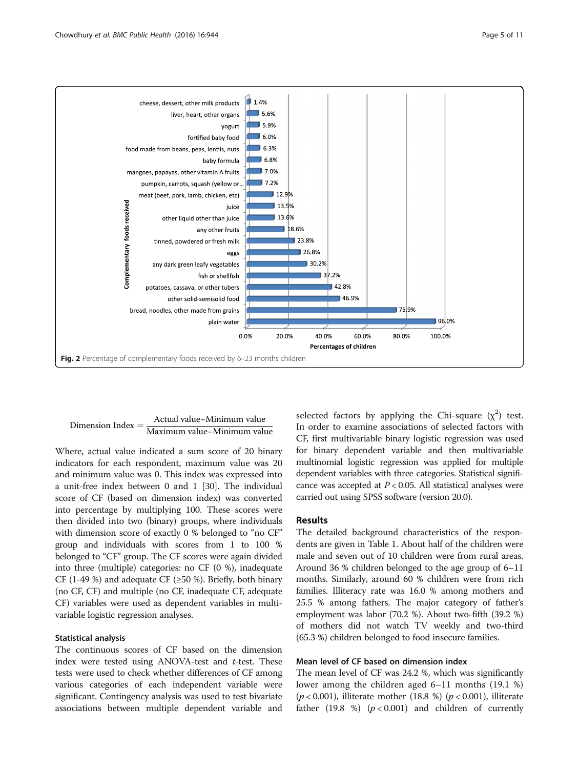<span id="page-4-0"></span>

Dimension Index = 
$$
\frac{Actual value - Minimum value}{Maximum value - Minimum value}
$$

Where, actual value indicated a sum score of 20 binary indicators for each respondent, maximum value was 20 and minimum value was 0. This index was expressed into a unit-free index between 0 and 1 [\[30\]](#page-10-0). The individual score of CF (based on dimension index) was converted into percentage by multiplying 100. These scores were then divided into two (binary) groups, where individuals with dimension score of exactly 0 % belonged to "no CF" group and individuals with scores from 1 to 100 % belonged to "CF" group. The CF scores were again divided into three (multiple) categories: no CF (0 %), inadequate CF (1-49 %) and adequate CF ( $\geq$ 50 %). Briefly, both binary (no CF, CF) and multiple (no CF, inadequate CF, adequate CF) variables were used as dependent variables in multivariable logistic regression analyses.

## Statistical analysis

The continuous scores of CF based on the dimension index were tested using ANOVA-test and  $t$ -test. These tests were used to check whether differences of CF among various categories of each independent variable were significant. Contingency analysis was used to test bivariate associations between multiple dependent variable and

selected factors by applying the Chi-square  $(x^2)$  test. In order to examine associations of selected factors with CF, first multivariable binary logistic regression was used for binary dependent variable and then multivariable multinomial logistic regression was applied for multiple dependent variables with three categories. Statistical significance was accepted at  $P < 0.05$ . All statistical analyses were carried out using SPSS software (version 20.0).

## Results

The detailed background characteristics of the respondents are given in Table [1.](#page-5-0) About half of the children were male and seven out of 10 children were from rural areas. Around 36 % children belonged to the age group of 6–11 months. Similarly, around 60 % children were from rich families. Illiteracy rate was 16.0 % among mothers and 25.5 % among fathers. The major category of father's employment was labor (70.2 %). About two-fifth (39.2 %) of mothers did not watch TV weekly and two-third (65.3 %) children belonged to food insecure families.

## Mean level of CF based on dimension index

The mean level of CF was 24.2 %, which was significantly lower among the children aged 6–11 months (19.1 %) ( $p < 0.001$ ), illiterate mother (18.8 %) ( $p < 0.001$ ), illiterate father (19.8 %)  $(p < 0.001)$  and children of currently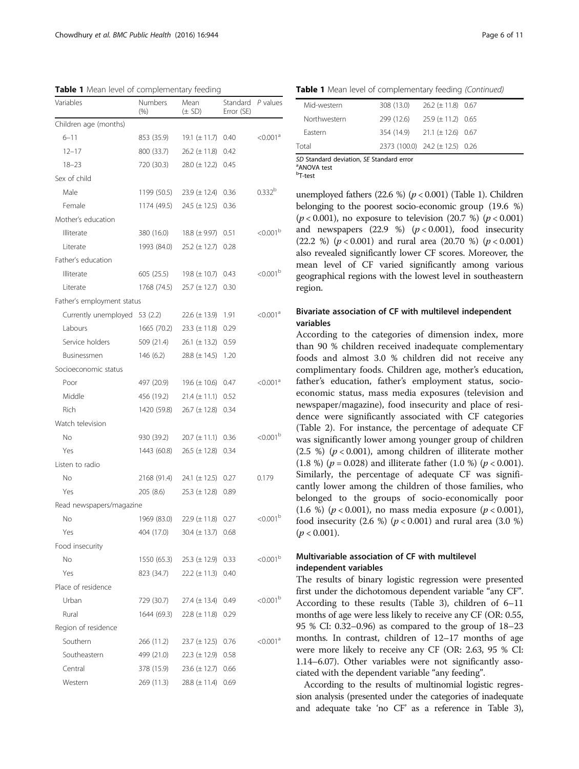<span id="page-5-0"></span>Table 1 Mean level of complementary feeding

| Variables                     | Numbers<br>(% ) | Mean<br>$(\pm$ SD)     | Standard<br>Error (SE) | $P$ values           |  |
|-------------------------------|-----------------|------------------------|------------------------|----------------------|--|
| Children age (months)         |                 |                        |                        |                      |  |
| $6 - 11$                      | 853 (35.9)      | 19.1 $(\pm 11.7)$      | 0.40                   | < 0.001 <sup>a</sup> |  |
| $12 - 17$                     | 800 (33.7)      | $26.2 (\pm 11.8)$      | 0.42                   |                      |  |
| $18 - 23$                     | 720 (30.3)      | $28.0 (\pm 12.2)$      | 0.45                   |                      |  |
| Sex of child                  |                 |                        |                        |                      |  |
| Male                          | 1199 (50.5)     | $23.9 (\pm 12.4)$ 0.36 |                        | $0.332^{b}$          |  |
| Female                        | 1174 (49.5)     | $24.5 (\pm 12.5)$ 0.36 |                        |                      |  |
| Mother's education            |                 |                        |                        |                      |  |
| Illiterate                    | 380 (16.0)      | $18.8 (\pm 9.97)$      | 0.51                   | $<0.001b$            |  |
| Literate                      | 1993 (84.0)     | $25.2 (\pm 12.7)$ 0.28 |                        |                      |  |
| Father's education            |                 |                        |                        |                      |  |
| Illiterate                    | 605 (25.5)      | 19.8 $(\pm 10.7)$ 0.43 |                        | $<$ 0.001 $^{\rm b}$ |  |
| Literate                      | 1768 (74.5)     | $25.7 (\pm 12.7)$ 0.30 |                        |                      |  |
| Father's employment status    |                 |                        |                        |                      |  |
| Currently unemployed 53 (2.2) |                 | 22.6 $(\pm 13.9)$      | 1.91                   | < 0.001 <sup>a</sup> |  |
| Labours                       | 1665 (70.2)     | 23.3 $(\pm 11.8)$      | 0.29                   |                      |  |
| Service holders               | 509 (21.4)      | $26.1 (\pm 13.2)$      | 0.59                   |                      |  |
| Businessmen                   | 146 (6.2)       | 28.8 $(\pm 14.5)$      | 1.20                   |                      |  |
| Socioeconomic status          |                 |                        |                        |                      |  |
| Poor                          | 497 (20.9)      | 19.6 $(\pm 10.6)$      | 0.47                   | < 0.001 <sup>a</sup> |  |
| Middle                        | 456 (19.2)      | $21.4 (\pm 11.1)$      | 0.52                   |                      |  |
| Rich                          | 1420 (59.8)     | $26.7 (\pm 12.8)$      | 0.34                   |                      |  |
| Watch television              |                 |                        |                        |                      |  |
| No                            | 930 (39.2)      | $20.7 (\pm 11.1)$ 0.36 |                        | $<$ 0.001 $^{\rm b}$ |  |
| Yes                           | 1443 (60.8)     | $26.5 (\pm 12.8)$      | 0.34                   |                      |  |
| Listen to radio               |                 |                        |                        |                      |  |
| No                            | 2168 (91.4)     | 24.1 (± 12.5) 0.27     |                        | 0.179                |  |
| Yes                           | 205 (8.6)       | $25.3 (\pm 12.8)$      | 0.89                   |                      |  |
| Read newspapers/magazine      |                 |                        |                        |                      |  |
| No                            | 1969 (83.0)     | $22.9 (\pm 11.8) 0.27$ |                        | $< 0.001^{\rm b}$    |  |
| Yes                           | 404 (17.0)      | 30.4 (± 13.7) 0.68     |                        |                      |  |
| Food insecurity               |                 |                        |                        |                      |  |
| No                            | 1550 (65.3)     | 25.3 $(\pm 12.9)$ 0.33 |                        | $<0.001b$            |  |
| Yes                           | 823 (34.7)      | $22.2 (\pm 11.3) 0.40$ |                        |                      |  |
| Place of residence            |                 |                        |                        |                      |  |
| Urban                         | 729 (30.7)      | $27.4 (\pm 13.4)$      | 0.49                   | $<0.001b$            |  |
| Rural                         | 1644 (69.3)     | $22.8 (\pm 11.8)$      | 0.29                   |                      |  |
| Region of residence           |                 |                        |                        |                      |  |
| Southern                      | 266 (11.2)      | 23.7 (± 12.5) 0.76     |                        | < 0.001 <sup>a</sup> |  |
| Southeastern                  | 499 (21.0)      | $22.3 (\pm 12.9)$      | 0.58                   |                      |  |
| Central                       | 378 (15.9)      | $23.6 (\pm 12.7) 0.66$ |                        |                      |  |
| Western                       | 269 (11.3)      | 28.8 $(\pm 11.4)$      | 0.69                   |                      |  |
|                               |                 |                        |                        |                      |  |

Table 1 Mean level of complementary feeding (Continued)

| Total        | 2373 (100.0) 24.2 (± 12.5) 0.26    |  |
|--------------|------------------------------------|--|
| Fastern      | $354(14.9)$ $21.1 (\pm 12.6)$ 0.67 |  |
| Northwestern | $299(12.6)$ $25.9 (\pm 11.2)$ 0.65 |  |
| Mid-western  | $308(13.0)$ $26.2 (\pm 11.8)$ 0.67 |  |
|              |                                    |  |

SD Standard deviation, SE Standard error ANOVA test

b T-test

unemployed fathers  $(22.6 %)$   $(p < 0.001)$  (Table 1). Children belonging to the poorest socio-economic group (19.6 %) ( $p < 0.001$ ), no exposure to television (20.7 %) ( $p < 0.001$ ) and newspapers  $(22.9 %)$   $(p < 0.001)$ , food insecurity (22.2 %) ( $p < 0.001$ ) and rural area (20.70 %) ( $p < 0.001$ ) also revealed significantly lower CF scores. Moreover, the mean level of CF varied significantly among various geographical regions with the lowest level in southeastern region.

## Bivariate association of CF with multilevel independent variables

According to the categories of dimension index, more than 90 % children received inadequate complementary foods and almost 3.0 % children did not receive any complimentary foods. Children age, mother's education, father's education, father's employment status, socioeconomic status, mass media exposures (television and newspaper/magazine), food insecurity and place of residence were significantly associated with CF categories (Table [2](#page-7-0)). For instance, the percentage of adequate CF was significantly lower among younger group of children (2.5 %) ( $p < 0.001$ ), among children of illiterate mother (1.8 %) ( $p = 0.028$ ) and illiterate father (1.0 %) ( $p < 0.001$ ). Similarly, the percentage of adequate CF was significantly lower among the children of those families, who belonged to the groups of socio-economically poor (1.6 %) ( $p < 0.001$ ), no mass media exposure ( $p < 0.001$ ), food insecurity  $(2.6 %)$   $(p < 0.001)$  and rural area  $(3.0 %)$  $(p < 0.001)$ .

## Multivariable association of CF with multilevel independent variables

The results of binary logistic regression were presented first under the dichotomous dependent variable "any CF". According to these results (Table [3\)](#page-8-0), children of 6–11 months of age were less likely to receive any CF (OR: 0.55, 95 % CI: 0.32–0.96) as compared to the group of 18–23 months. In contrast, children of 12–17 months of age were more likely to receive any CF (OR: 2.63, 95 % CI: 1.14–6.07). Other variables were not significantly associated with the dependent variable "any feeding".

According to the results of multinomial logistic regression analysis (presented under the categories of inadequate and adequate take 'no CF' as a reference in Table [3](#page-8-0)),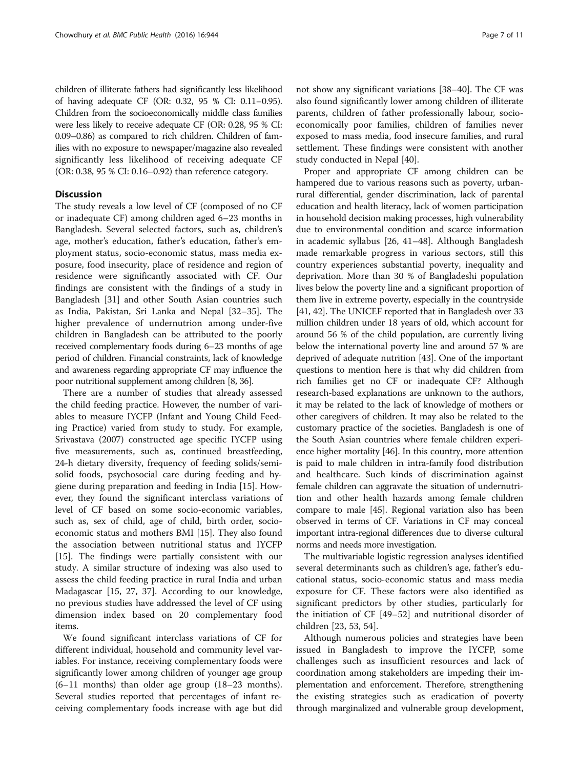children of illiterate fathers had significantly less likelihood of having adequate CF (OR: 0.32, 95 % CI: 0.11–0.95). Children from the socioeconomically middle class families were less likely to receive adequate CF (OR: 0.28, 95 % CI: 0.09–0.86) as compared to rich children. Children of families with no exposure to newspaper/magazine also revealed significantly less likelihood of receiving adequate CF (OR: 0.38, 95 % CI: 0.16–0.92) than reference category.

## **Discussion**

The study reveals a low level of CF (composed of no CF or inadequate CF) among children aged 6–23 months in Bangladesh. Several selected factors, such as, children's age, mother's education, father's education, father's employment status, socio-economic status, mass media exposure, food insecurity, place of residence and region of residence were significantly associated with CF. Our findings are consistent with the findings of a study in Bangladesh [\[31](#page-10-0)] and other South Asian countries such as India, Pakistan, Sri Lanka and Nepal [\[32](#page-10-0)–[35\]](#page-10-0). The higher prevalence of undernutrion among under-five children in Bangladesh can be attributed to the poorly received complementary foods during 6–23 months of age period of children. Financial constraints, lack of knowledge and awareness regarding appropriate CF may influence the poor nutritional supplement among children [\[8,](#page-9-0) [36\]](#page-10-0).

There are a number of studies that already assessed the child feeding practice. However, the number of variables to measure IYCFP (Infant and Young Child Feeding Practice) varied from study to study. For example, Srivastava (2007) constructed age specific IYCFP using five measurements, such as, continued breastfeeding, 24-h dietary diversity, frequency of feeding solids/semisolid foods, psychosocial care during feeding and hygiene during preparation and feeding in India [\[15](#page-9-0)]. However, they found the significant interclass variations of level of CF based on some socio-economic variables, such as, sex of child, age of child, birth order, socioeconomic status and mothers BMI [[15](#page-9-0)]. They also found the association between nutritional status and IYCFP [[15\]](#page-9-0). The findings were partially consistent with our study. A similar structure of indexing was also used to assess the child feeding practice in rural India and urban Madagascar [\[15,](#page-9-0) [27, 37](#page-10-0)]. According to our knowledge, no previous studies have addressed the level of CF using dimension index based on 20 complementary food items.

We found significant interclass variations of CF for different individual, household and community level variables. For instance, receiving complementary foods were significantly lower among children of younger age group (6–11 months) than older age group (18–23 months). Several studies reported that percentages of infant receiving complementary foods increase with age but did not show any significant variations [[38](#page-10-0)–[40](#page-10-0)]. The CF was also found significantly lower among children of illiterate parents, children of father professionally labour, socioeconomically poor families, children of families never exposed to mass media, food insecure families, and rural settlement. These findings were consistent with another study conducted in Nepal [\[40\]](#page-10-0).

Proper and appropriate CF among children can be hampered due to various reasons such as poverty, urbanrural differential, gender discrimination, lack of parental education and health literacy, lack of women participation in household decision making processes, high vulnerability due to environmental condition and scarce information in academic syllabus [\[26](#page-10-0), [41](#page-10-0)–[48](#page-10-0)]. Although Bangladesh made remarkable progress in various sectors, still this country experiences substantial poverty, inequality and deprivation. More than 30 % of Bangladeshi population lives below the poverty line and a significant proportion of them live in extreme poverty, especially in the countryside [[41](#page-10-0), [42\]](#page-10-0). The UNICEF reported that in Bangladesh over 33 million children under 18 years of old, which account for around 56 % of the child population, are currently living below the international poverty line and around 57 % are deprived of adequate nutrition [[43](#page-10-0)]. One of the important questions to mention here is that why did children from rich families get no CF or inadequate CF? Although research-based explanations are unknown to the authors, it may be related to the lack of knowledge of mothers or other caregivers of children. It may also be related to the customary practice of the societies. Bangladesh is one of the South Asian countries where female children experience higher mortality [[46](#page-10-0)]. In this country, more attention is paid to male children in intra-family food distribution and healthcare. Such kinds of discrimination against female children can aggravate the situation of undernutrition and other health hazards among female children compare to male [[45](#page-10-0)]. Regional variation also has been observed in terms of CF. Variations in CF may conceal important intra-regional differences due to diverse cultural norms and needs more investigation.

The multivariable logistic regression analyses identified several determinants such as children's age, father's educational status, socio-economic status and mass media exposure for CF. These factors were also identified as significant predictors by other studies, particularly for the initiation of CF [[49](#page-10-0)–[52](#page-10-0)] and nutritional disorder of children [\[23](#page-10-0), [53](#page-10-0), [54\]](#page-10-0).

Although numerous policies and strategies have been issued in Bangladesh to improve the IYCFP, some challenges such as insufficient resources and lack of coordination among stakeholders are impeding their implementation and enforcement. Therefore, strengthening the existing strategies such as eradication of poverty through marginalized and vulnerable group development,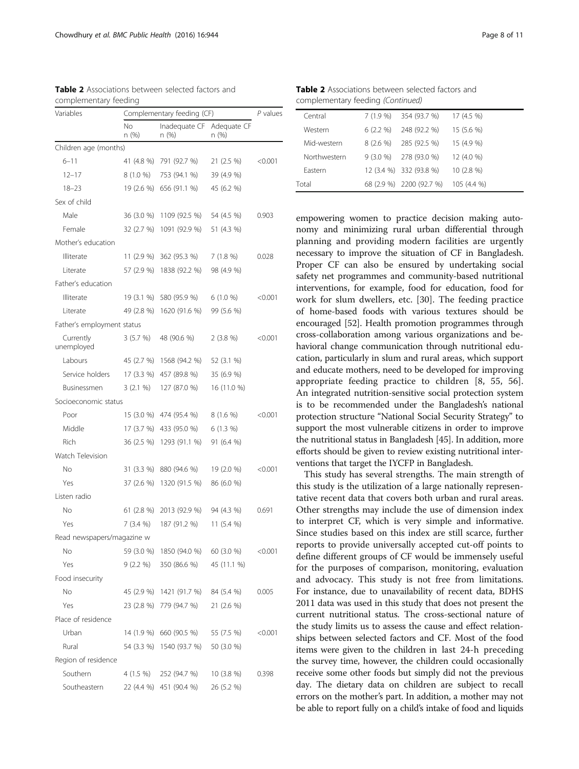| Variables                  | ۰,<br>Complementary feeding (CF) | P values                            |                      |         |  |
|----------------------------|----------------------------------|-------------------------------------|----------------------|---------|--|
|                            | No<br>n (%)                      | Inadequate CF<br>n (%)              | Adequate CF<br>n (%) |         |  |
| Children age (months)      |                                  |                                     |                      |         |  |
| $6 - 11$                   | 41 (4.8 %)                       | 791 (92.7 %)                        | 21 (2.5 %)           | < 0.001 |  |
| $12 - 17$                  | 8 (1.0 %)                        | 753 (94.1 %)                        | 39 (4.9 %)           |         |  |
| $18 - 23$                  | 19 (2.6 %)                       | 656 (91.1 %)                        | 45 (6.2 %)           |         |  |
| Sex of child               |                                  |                                     |                      |         |  |
| Male                       | 36 (3.0 %)                       | 1109 (92.5 %)                       | 54 (4.5 %)           | 0.903   |  |
| Female                     | 32 (2.7 %)                       | 1091 (92.9 %)                       | 51 (4.3 %)           |         |  |
| Mother's education         |                                  |                                     |                      |         |  |
| Illiterate                 | 11 $(2.9%$                       | 362 (95.3 %)                        | 7 (1.8 %)            | 0.028   |  |
| Literate                   | 57 (2.9 %)                       | 1838 (92.2 %)                       | 98 (4.9 %)           |         |  |
| Father's education         |                                  |                                     |                      |         |  |
| Illiterate                 | 19 (3.1 %)                       | 580 (95.9 %)                        | 6(1.0%               | < 0.001 |  |
| Literate                   | 49 (2.8 %)                       | 1620 (91.6 %)                       | 99 (5.6 %)           |         |  |
| Father's employment status |                                  |                                     |                      |         |  |
| Currently<br>unemployed    | 3(5.7%)                          | 48 (90.6 %)                         | $2(3.8\%)$           | < 0.001 |  |
| Labours                    | 45 (2.7 %)                       | 1568 (94.2 %)                       | 52 (3.1 %)           |         |  |
| Service holders            | $17(3.3\%)$                      | 457 (89.8 %)                        | 35 (6.9 %)           |         |  |
| Businessmen                | 3(2.1%                           | 127 (87.0 %)                        | 16 (11.0 %)          |         |  |
| Socioeconomic status       |                                  |                                     |                      |         |  |
| Poor                       | 15 (3.0 %)                       | 474 (95.4 %)                        | 8(1.6%)              | < 0.001 |  |
| Middle                     | 17 (3.7 %)                       | 433 (95.0 %)                        | 6(1.3%)              |         |  |
| Rich                       | 36 (2.5 %)                       | 1293 (91.1 %)                       | 91 (6.4 %)           |         |  |
| Watch Television           |                                  |                                     |                      |         |  |
| No                         | 31 (3.3 %)                       | 880 (94.6 %)                        | 19 (2.0 %)           | < 0.001 |  |
| Yes                        | 37 (2.6 %)                       | 1320 (91.5 %)                       | 86 (6.0 %)           |         |  |
| Listen radio               |                                  |                                     |                      |         |  |
| No                         | 61 (2.8 %)                       | 2013 (92.9 %)                       | 94 (4.3 %)           | 0.691   |  |
| Yes                        | 7(3.4%                           | 187 (91.2 %)                        | 11 (5.4 %)           |         |  |
| Read newspapers/magazine w |                                  |                                     |                      |         |  |
| No                         |                                  | 59 (3.0 %) 1850 (94.0 %) 60 (3.0 %) |                      | < 0.001 |  |
| Yes                        | 9(2.2%                           | 350 (86.6 %)                        | 45 (11.1 %)          |         |  |
| Food insecurity            |                                  |                                     |                      |         |  |
| No                         |                                  | 45 (2.9 %) 1421 (91.7 %)            | 84 (5.4 %)           | 0.005   |  |
| Yes                        |                                  | 23 (2.8 %) 779 (94.7 %)             | 21 (2.6 %)           |         |  |
| Place of residence         |                                  |                                     |                      |         |  |
| Urban                      |                                  | 14 (1.9 %) 660 (90.5 %)             | 55 (7.5 %)           | < 0.001 |  |
| Rural                      |                                  | 54 (3.3 %) 1540 (93.7 %)            | 50 (3.0 %)           |         |  |
| Region of residence        |                                  |                                     |                      |         |  |
| Southern                   | 4 (1.5 %)                        | 252 (94.7 %)                        | 10 (3.8 %)           | 0.398   |  |
| Southeastern               | 22 (4.4 %)                       | 451 (90.4 %)                        | 26 (5.2 %)           |         |  |

<span id="page-7-0"></span>Table 2 Associations between selected factors and complementary feeding

Table 2 Associations between selected factors and complementary feeding (Continued)

| complementary recording (committed) |             |                          |             |
|-------------------------------------|-------------|--------------------------|-------------|
| Central                             | $7(1.9\%)$  | 354 (93.7 %)             | 17 (4.5 %)  |
| Western                             | 6(2.2%)     | 248 (92.2 %)             | 15 (5.6 %)  |
| Mid-western                         | $8(2.6\%)$  | 285 (92.5 %)             | 15 (4.9 %)  |
| Northwestern                        | $9(3.0\% )$ | 278 (93.0 %)             | 12 (4.0 %)  |
| Eastern                             |             | 12 (3.4 %) 332 (93.8 %)  | 10 (2.8 %)  |
| Total                               |             | 68 (2.9 %) 2200 (92.7 %) | 105 (4.4 %) |

empowering women to practice decision making autonomy and minimizing rural urban differential through planning and providing modern facilities are urgently necessary to improve the situation of CF in Bangladesh. Proper CF can also be ensured by undertaking social safety net programmes and community-based nutritional interventions, for example, food for education, food for work for slum dwellers, etc. [[30\]](#page-10-0). The feeding practice of home-based foods with various textures should be encouraged [[52](#page-10-0)]. Health promotion programmes through cross-collaboration among various organizations and behavioral change communication through nutritional education, particularly in slum and rural areas, which support and educate mothers, need to be developed for improving appropriate feeding practice to children [[8,](#page-9-0) [55, 56](#page-10-0)]. An integrated nutrition-sensitive social protection system is to be recommended under the Bangladesh's national protection structure "National Social Security Strategy" to support the most vulnerable citizens in order to improve the nutritional status in Bangladesh [[45](#page-10-0)]. In addition, more efforts should be given to review existing nutritional interventions that target the IYCFP in Bangladesh.

This study has several strengths. The main strength of this study is the utilization of a large nationally representative recent data that covers both urban and rural areas. Other strengths may include the use of dimension index to interpret CF, which is very simple and informative. Since studies based on this index are still scarce, further reports to provide universally accepted cut-off points to define different groups of CF would be immensely useful for the purposes of comparison, monitoring, evaluation and advocacy. This study is not free from limitations. For instance, due to unavailability of recent data, BDHS 2011 data was used in this study that does not present the current nutritional status. The cross-sectional nature of the study limits us to assess the cause and effect relationships between selected factors and CF. Most of the food items were given to the children in last 24-h preceding the survey time, however, the children could occasionally receive some other foods but simply did not the previous day. The dietary data on children are subject to recall errors on the mother's part. In addition, a mother may not be able to report fully on a child's intake of food and liquids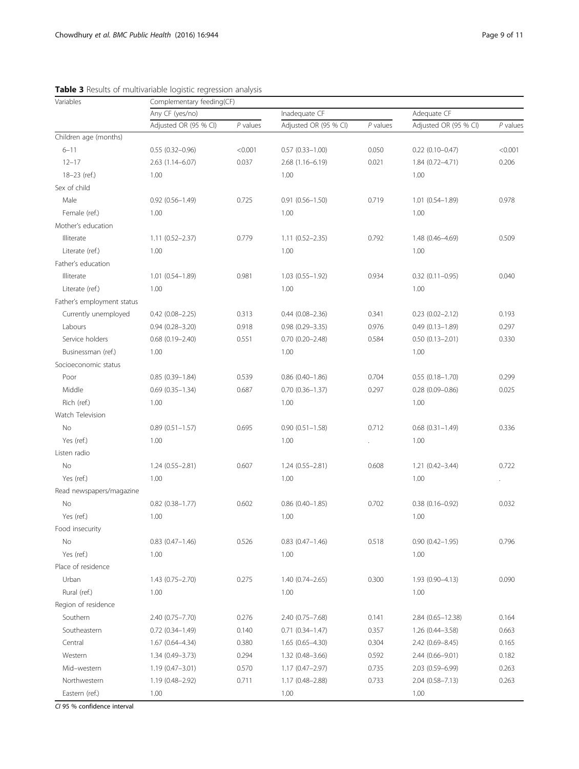| Variables                  | Complementary feeding(CF) |            |                        |            |                        |            |
|----------------------------|---------------------------|------------|------------------------|------------|------------------------|------------|
|                            | Any CF (yes/no)           |            | Inadequate CF          |            | Adequate CF            |            |
|                            | Adjusted OR (95 % CI)     | $P$ values | Adjusted OR (95 % CI)  | $P$ values | Adjusted OR (95 % CI)  | $P$ values |
| Children age (months)      |                           |            |                        |            |                        |            |
| $6 - 11$                   | $0.55(0.32 - 0.96)$       | < 0.001    | $0.57(0.33 - 1.00)$    | 0.050      | $0.22(0.10 - 0.47)$    | < 0.001    |
| $12 - 17$                  | $2.63(1.14 - 6.07)$       | 0.037      | 2.68 (1.16-6.19)       | 0.021      | $1.84(0.72 - 4.71)$    | 0.206      |
| 18-23 (ref.)               | 1.00                      |            | 1.00                   |            | 1.00                   |            |
| Sex of child               |                           |            |                        |            |                        |            |
| Male                       | $0.92(0.56 - 1.49)$       | 0.725      | $0.91(0.56 - 1.50)$    | 0.719      | $1.01(0.54 - 1.89)$    | 0.978      |
| Female (ref.)              | 1.00                      |            | 1.00                   |            | 1.00                   |            |
| Mother's education         |                           |            |                        |            |                        |            |
| Illiterate                 | $1.11(0.52 - 2.37)$       | 0.779      | $1.11(0.52 - 2.35)$    | 0.792      | 1.48 (0.46-4.69)       | 0.509      |
| Literate (ref.)            | 1.00                      |            | 1.00                   |            | 1.00                   |            |
| Father's education         |                           |            |                        |            |                        |            |
| Illiterate                 | 1.01 (0.54-1.89)          | 0.981      | $1.03(0.55 - 1.92)$    | 0.934      | $0.32(0.11 - 0.95)$    | 0.040      |
| Literate (ref.)            | 1.00                      |            | 1.00                   |            | 1.00                   |            |
| Father's employment status |                           |            |                        |            |                        |            |
| Currently unemployed       | $0.42(0.08 - 2.25)$       | 0.313      | $0.44$ $(0.08 - 2.36)$ | 0.341      | $0.23$ $(0.02 - 2.12)$ | 0.193      |
| Labours                    | $0.94(0.28 - 3.20)$       | 0.918      | $0.98(0.29 - 3.35)$    | 0.976      | $0.49(0.13 - 1.89)$    | 0.297      |
| Service holders            | $0.68$ $(0.19 - 2.40)$    | 0.551      | $0.70$ $(0.20 - 2.48)$ | 0.584      | $0.50(0.13 - 2.01)$    | 0.330      |
| Businessman (ref.)         | 1.00                      |            | 1.00                   |            | 1.00                   |            |
| Socioeconomic status       |                           |            |                        |            |                        |            |
| Poor                       | $0.85(0.39 - 1.84)$       | 0.539      | $0.86$ $(0.40-1.86)$   | 0.704      | $0.55(0.18 - 1.70)$    | 0.299      |
| Middle                     | $0.69$ $(0.35 - 1.34)$    | 0.687      | $0.70(0.36 - 1.37)$    | 0.297      | $0.28(0.09 - 0.86)$    | 0.025      |
| Rich (ref.)                | 1.00                      |            | 1.00                   |            | 1.00                   |            |
| Watch Television           |                           |            |                        |            |                        |            |
| No                         | $0.89(0.51 - 1.57)$       | 0.695      | $0.90(0.51 - 1.58)$    | 0.712      | $0.68$ $(0.31 - 1.49)$ | 0.336      |
| Yes (ref.)                 | 1.00                      |            | 1.00                   |            | 1.00                   |            |
| Listen radio               |                           |            |                        |            |                        |            |
| No                         | $1.24(0.55 - 2.81)$       | 0.607      | $1.24(0.55 - 2.81)$    | 0.608      | $1.21(0.42 - 3.44)$    | 0.722      |
| Yes (ref.)                 | 1.00                      |            | 1.00                   |            | 1.00                   |            |
| Read newspapers/magazine   |                           |            |                        |            |                        |            |
| No                         | $0.82$ $(0.38 - 1.77)$    | 0.602      | $0.86$ $(0.40 - 1.85)$ | 0.702      | $0.38(0.16 - 0.92)$    | 0.032      |
| Yes (ref.)                 | 1.00                      |            | 1.00                   |            | 1.00                   |            |
| Food insecurity            |                           |            |                        |            |                        |            |
| No                         | $0.83$ $(0.47 - 1.46)$    | 0.526      | $0.83$ $(0.47 - 1.46)$ | 0.518      | $0.90(0.42 - 1.95)$    | 0.796      |
| Yes (ref.)                 | 1.00                      |            | 1.00                   |            | 1.00                   |            |
| Place of residence         |                           |            |                        |            |                        |            |
| Urban                      | $1.43(0.75 - 2.70)$       | 0.275      | 1.40 (0.74-2.65)       | 0.300      | 1.93 (0.90-4.13)       | 0.090      |
| Rural (ref.)               | 1.00                      |            | 1.00                   |            | 1.00                   |            |
| Region of residence        |                           |            |                        |            |                        |            |
| Southern                   | 2.40 (0.75-7.70)          | 0.276      | 2.40 (0.75-7.68)       | 0.141      | 2.84 (0.65-12.38)      | 0.164      |
| Southeastern               | $0.72$ $(0.34 - 1.49)$    | 0.140      | $0.71$ $(0.34 - 1.47)$ | 0.357      | 1.26 (0.44-3.58)       | 0.663      |
| Central                    | $1.67(0.64 - 4.34)$       | 0.380      | $1.65(0.65 - 4.30)$    | 0.304      | 2.42 (0.69-8.45)       | 0.165      |
| Western                    | 1.34 (0.49-3.73)          | 0.294      | $1.32(0.48 - 3.66)$    | 0.592      | 2.44 (0.66-9.01)       | 0.182      |
| Mid-western                | $1.19(0.47 - 3.01)$       | 0.570      | $1.17(0.47 - 2.97)$    | 0.735      | 2.03 (0.59-6.99)       | 0.263      |
| Northwestern               | 1.19 (0.48-2.92)          | 0.711      | 1.17 (0.48-2.88)       | 0.733      | 2.04 (0.58-7.13)       | 0.263      |
| Eastern (ref.)             | 1.00                      |            | 1.00                   |            | 1.00                   |            |

<span id="page-8-0"></span>Table 3 Results of multivariable logistic regression analysis

CI 95 % confidence interval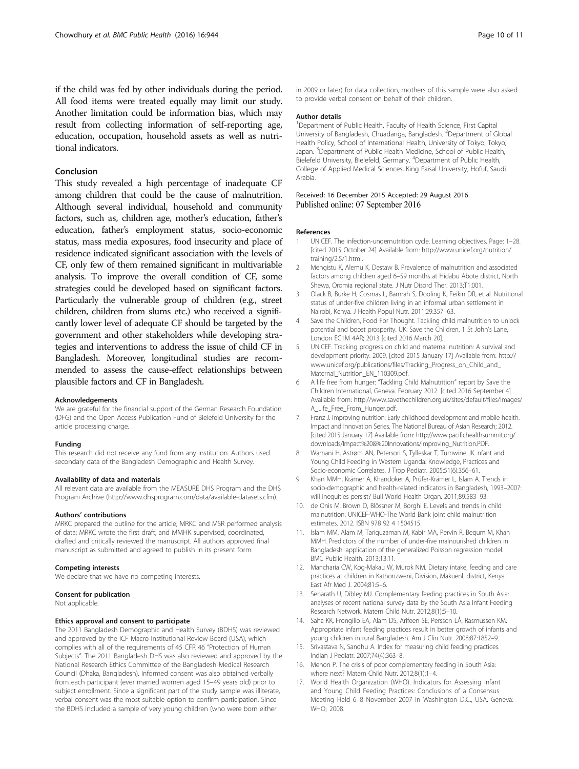<span id="page-9-0"></span>if the child was fed by other individuals during the period. All food items were treated equally may limit our study. Another limitation could be information bias, which may result from collecting information of self-reporting age, education, occupation, household assets as well as nutritional indicators.

## Conclusion

This study revealed a high percentage of inadequate CF among children that could be the cause of malnutrition. Although several individual, household and community factors, such as, children age, mother's education, father's education, father's employment status, socio-economic status, mass media exposures, food insecurity and place of residence indicated significant association with the levels of CF, only few of them remained significant in multivariable analysis. To improve the overall condition of CF, some strategies could be developed based on significant factors. Particularly the vulnerable group of children (e.g., street children, children from slums etc.) who received a significantly lower level of adequate CF should be targeted by the government and other stakeholders while developing strategies and interventions to address the issue of child CF in Bangladesh. Moreover, longitudinal studies are recommended to assess the cause-effect relationships between plausible factors and CF in Bangladesh.

#### Acknowledgements

We are grateful for the financial support of the German Research Foundation (DFG) and the Open Access Publication Fund of Bielefeld University for the article processing charge.

#### Funding

This research did not receive any fund from any institution. Authors used secondary data of the Bangladesh Demographic and Health Survey.

#### Availability of data and materials

All relevant data are available from the MEASURE DHS Program and the DHS Program Archive [\(http://www.dhsprogram.com/data/available-datasets.cfm](http://www.dhsprogram.com/data/available-datasets.cfm)).

#### Authors' contributions

MRKC prepared the outline for the article; MRKC and MSR performed analysis of data; MRKC wrote the first draft; and MMHK supervised, coordinated, drafted and critically reviewed the manuscript. All authors approved final manuscript as submitted and agreed to publish in its present form.

#### Competing interests

We declare that we have no competing interests.

#### Consent for publication

Not applicable.

## Ethics approval and consent to participate

The 2011 Bangladesh Demographic and Health Survey (BDHS) was reviewed and approved by the ICF Macro Institutional Review Board (USA), which complies with all of the requirements of 45 CFR 46 "Protection of Human Subjects". The 2011 Bangladesh DHS was also reviewed and approved by the National Research Ethics Committee of the Bangladesh Medical Research Council (Dhaka, Bangladesh). Informed consent was also obtained verbally from each participant (ever married women aged 15–49 years old) prior to subject enrollment. Since a significant part of the study sample was illiterate, verbal consent was the most suitable option to confirm participation. Since the BDHS included a sample of very young children (who were born either

in 2009 or later) for data collection, mothers of this sample were also asked to provide verbal consent on behalf of their children.

#### Author details

<sup>1</sup>Department of Public Health, Faculty of Health Science, First Capital University of Bangladesh, Chuadanga, Bangladesh. <sup>2</sup> Department of Global Health Policy, School of International Health, University of Tokyo, Tokyo, Japan. <sup>3</sup> Department of Public Health Medicine, School of Public Health, Bielefeld University, Bielefeld, Germany. <sup>4</sup>Department of Public Health College of Applied Medical Sciences, King Faisal University, Hofuf, Saudi Arabia.

### Received: 16 December 2015 Accepted: 29 August 2016 Published online: 07 September 2016

#### References

- 1. UNICEF. The infection-undernutrition cycle. Learning objectives, Page: 1–28. [cited 2015 October 24] Available from: [http://www.unicef.org/nutrition/](http://www.unicef.org/nutrition/training/2.5/1.html) [training/2.5/1.html](http://www.unicef.org/nutrition/training/2.5/1.html).
- 2. Mengistu K, Alemu K, Destaw B. Prevalence of malnutrition and associated factors among children aged 6–59 months at Hidabu Abote district, North Shewa, Oromia regional state. J Nutr Disord Ther. 2013;T1:001.
- 3. Olack B, Burke H, Cosmas L, Bamrah S, Dooling K, Feikin DR, et al. Nutritional status of under-five children living in an informal urban settlement in Nairobi, Kenya. J Health Popul Nutr. 2011;29:357–63.
- 4. Save the Children, Food For Thought. Tackling child malnutrition to unlock potential and boost prosperity. UK: Save the Children, 1 St John's Lane, London EC1M 4AR; 2013 [cited 2016 March 20].
- 5. UNICEF. Tracking progress on child and maternal nutrition: A survival and development priority. 2009, [cited 2015 January 17] Available from: [http://](http://www.unicef.org/publications/files/Tracking_Progress_on_Child_and_Maternal_Nutrition_EN_110309.pdf) [www.unicef.org/publications/files/Tracking\\_Progress\\_on\\_Child\\_and\\_](http://www.unicef.org/publications/files/Tracking_Progress_on_Child_and_Maternal_Nutrition_EN_110309.pdf) [Maternal\\_Nutrition\\_EN\\_110309.pdf](http://www.unicef.org/publications/files/Tracking_Progress_on_Child_and_Maternal_Nutrition_EN_110309.pdf).
- 6. A life free from hunger: "Tackling Child Malnutrition" report by Save the Children International, Geneva. February 2012. [cited 2016 September 4] Available from: [http://www.savethechildren.org.uk/sites/default/files/images/](http://www.savethechildren.org.uk/sites/default/files/images/A_Life_Free_From_Hunger.pdf) [A\\_Life\\_Free\\_From\\_Hunger.pdf](http://www.savethechildren.org.uk/sites/default/files/images/A_Life_Free_From_Hunger.pdf).
- 7. Franz J. Improving nutrition: Early childhood development and mobile health. Impact and Innovation Series. The National Bureau of Asian Research; 2012. [cited 2015 January 17] Available from: [http://www.pacifichealthsummit.org/](http://www.pacifichealthsummit.org/downloads/Impact%20&%20Innovations/Improving_Nutrition.PDF) [downloads/Impact%20&%20Innovations/Improving\\_Nutrition.PDF](http://www.pacifichealthsummit.org/downloads/Impact%20&%20Innovations/Improving_Nutrition.PDF).
- 8. Wamani H, Astrøm AN, Peterson S, Tylleskar T, Tumwine JK. nfant and Young Child Feeding in Western Uganda: Knowledge, Practices and Socio-economic Correlates. J Trop Pediatr. 2005;51(6):356–61.
- 9. Khan MMH, Krämer A, Khandoker A, Prüfer-Krämer L, Islam A. Trends in socio-demographic and health-related indicators in Bangladesh, 1993–2007: will inequities persist? Bull World Health Organ. 2011;89:583–93.
- 10. de Onis M, Brown D, Blössner M, Borghi E. Levels and trends in child malnutrition: UNICEF-WHO-The World Bank joint child malnutrition estimates. 2012. ISBN 978 92 4 1504515.
- 11. Islam MM, Alam M, Tariquzaman M, Kabir MA, Pervin R, Begum M, Khan MMH. Predictors of the number of under-five malnourished children in Bangladesh: application of the generalized Poisson regression model. BMC Public Health. 2013;13:11.
- 12. Mancharia CW, Kog-Makau W, Murok NM. Dietary intake, feeding and care practices at children in Kathonzweni, Division, Makuenl, district, Kenya. East Afr Med J. 2004;81:5–6.
- 13. Senarath U, Dibley MJ. Complementary feeding practices in South Asia: analyses of recent national survey data by the South Asia Infant Feeding Research Network. Matern Child Nutr. 2012;8(1):5–10.
- 14. Saha KK, Frongillo EA, Alam DS, Arifeen SE, Persson LÅ, Rasmussen KM. Appropriate infant feeding practices result in better growth of infants and young children in rural Bangladesh. Am J Clin Nutr. 2008;87:1852–9.
- 15. Srivastava N, Sandhu A. Index for measuring child feeding practices. Indian J Pediatr. 2007;74(4):363–8.
- 16. Menon P. The crisis of poor complementary feeding in South Asia: where next? Matern Child Nutr. 2012;8(1):1–4.
- 17. World Health Organization (WHO). Indicators for Assessing Infant and Young Child Feeding Practices: Conclusions of a Consensus Meeting Held 6–8 November 2007 in Washington D.C., USA. Geneva: WHO; 2008.